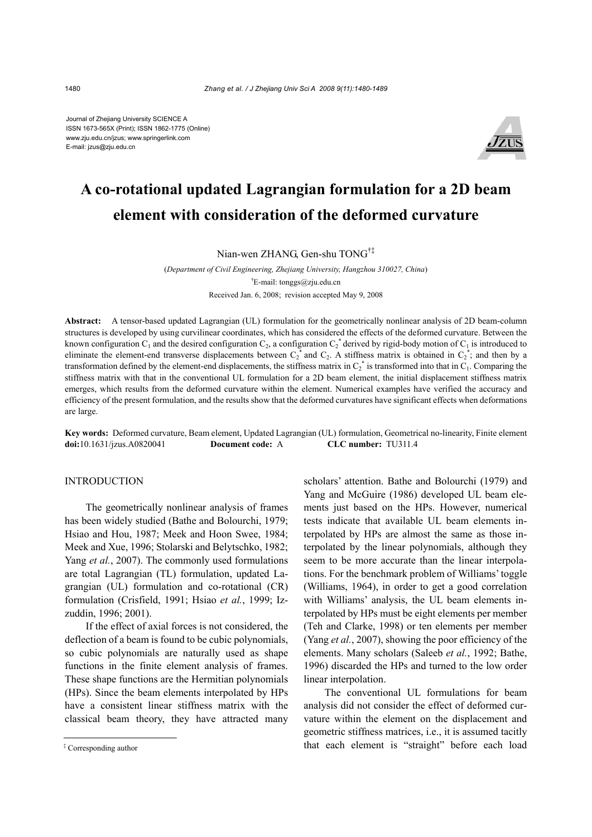Journal of Zhejiang University SCIENCE A ISSN 1673-565X (Print); ISSN 1862-1775 (Online) www.zju.edu.cn/jzus; www.springerlink.com E-mail: jzus@zju.edu.cn



# **A co-rotational updated Lagrangian formulation for a 2D beam element with consideration of the deformed curvature**

Nian-wen ZHANG, Gen-shu TONG†‡

(*Department of Civil Engineering, Zhejiang University, Hangzhou 310027, China*) † E-mail: tonggs@zju.edu.cn Received Jan. 6, 2008; revision accepted May 9, 2008

**Abstract:** A tensor-based updated Lagrangian (UL) formulation for the geometrically nonlinear analysis of 2D beam-column structures is developed by using curvilinear coordinates, which has considered the effects of the deformed curvature. Between the known configuration C<sub>1</sub> and the desired configuration C<sub>2</sub>, a configuration C<sub>2</sub><sup>\*</sup> derived by rigid-body motion of C<sub>1</sub> is introduced to eliminate the element-end transverse displacements between  $C_2^*$  and  $C_2$ . A stiffness matrix is obtained in  $C_2^*$ ; and then by a transformation defined by the element-end displacements, the stiffness matrix in  $C_2^*$  is transformed into that in  $C_1$ . Comparing the stiffness matrix with that in the conventional UL formulation for a 2D beam element, the initial displacement stiffness matrix emerges, which results from the deformed curvature within the element. Numerical examples have verified the accuracy and efficiency of the present formulation, and the results show that the deformed curvatures have significant effects when deformations are large.

**Key words:** Deformed curvature, Beam element, Updated Lagrangian (UL) formulation, Geometrical no-linearity, Finite element **doi:**10.1631/jzus.A0820041 **Document code:** A **CLC number:** TU311.4

### **INTRODUCTION**

The geometrically nonlinear analysis of frames has been widely studied (Bathe and Bolourchi, 1979; Hsiao and Hou, 1987; Meek and Hoon Swee, 1984; Meek and Xue, 1996; Stolarski and Belytschko, 1982; Yang *et al.*, 2007). The commonly used formulations are total Lagrangian (TL) formulation, updated Lagrangian (UL) formulation and co-rotational (CR) formulation (Crisfield, 1991; Hsiao *et al.*, 1999; Izzuddin, 1996; 2001).

If the effect of axial forces is not considered, the deflection of a beam is found to be cubic polynomials, so cubic polynomials are naturally used as shape functions in the finite element analysis of frames. These shape functions are the Hermitian polynomials (HPs). Since the beam elements interpolated by HPs have a consistent linear stiffness matrix with the classical beam theory, they have attracted many

scholars' attention. Bathe and Bolourchi (1979) and Yang and McGuire (1986) developed UL beam elements just based on the HPs. However, numerical tests indicate that available UL beam elements interpolated by HPs are almost the same as those interpolated by the linear polynomials, although they seem to be more accurate than the linear interpolations. For the benchmark problem of Williams' toggle (Williams, 1964), in order to get a good correlation with Williams' analysis, the UL beam elements interpolated by HPs must be eight elements per member (Teh and Clarke, 1998) or ten elements per member (Yang *et al.*, 2007), showing the poor efficiency of the elements. Many scholars (Saleeb *et al.*, 1992; Bathe, 1996) discarded the HPs and turned to the low order linear interpolation.

The conventional UL formulations for beam analysis did not consider the effect of deformed curvature within the element on the displacement and geometric stiffness matrices, i.e., it is assumed tacitly that each element is "straight" before each load

<sup>‡</sup> Corresponding author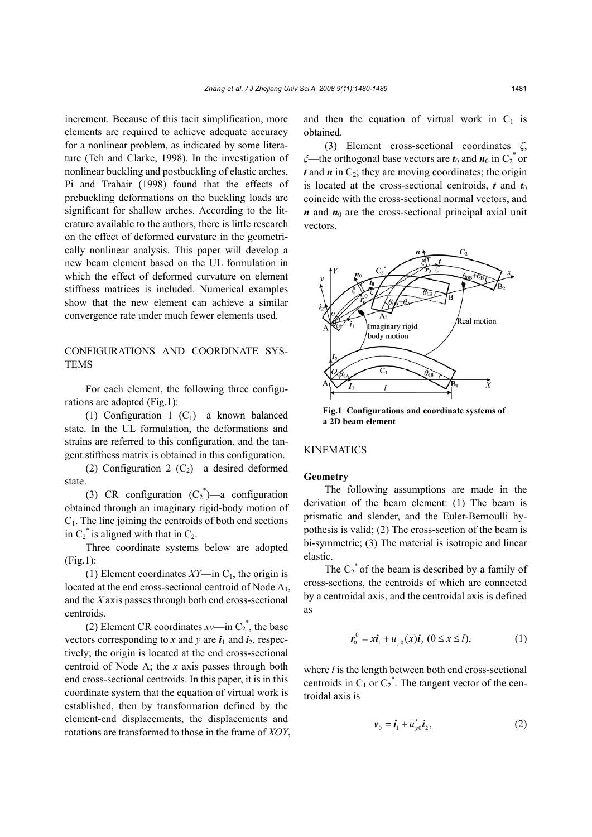increment. Because of this tacit simplification, more elements are required to achieve adequate accuracy for a nonlinear problem, as indicated by some literature (Teh and Clarke, 1998). In the investigation of nonlinear buckling and postbuckling of elastic arches, Pi and Trahair (1998) found that the effects of prebuckling deformations on the buckling loads are significant for shallow arches. According to the literature available to the authors, there is little research on the effect of deformed curvature in the geometrically nonlinear analysis. This paper will develop a new beam element based on the UL formulation in which the effect of deformed curvature on element stiffness matrices is included. Numerical examples show that the new element can achieve a similar convergence rate under much fewer elements used.

## CONFIGURATIONS AND COORDINATE SYS-**TEMS**

For each element, the following three configurations are adopted (Fig.1):

(1) Configuration 1  $(C_1)$ —a known balanced state. In the UL formulation, the deformations and strains are referred to this configuration, and the tangent stiffness matrix is obtained in this configuration.

(2) Configuration 2  $(C_2)$ —a desired deformed state.

(3) CR configuration  $(C_2^*)$ —a configuration obtained through an imaginary rigid-body motion of  $C_1$ . The line joining the centroids of both end sections in  $C_2^*$  is aligned with that in  $C_2$ .

Three coordinate systems below are adopted (Fig.1):

(1) Element coordinates  $XY$ —in  $C_1$ , the origin is located at the end cross-sectional centroid of Node  $A_1$ , and the *X* axis passes through both end cross-sectional centroids.

(2) Element CR coordinates  $xy$ —in  $C_2^*$ , the base vectors corresponding to *x* and *y* are  $i_1$  and  $i_2$ , respectively; the origin is located at the end cross-sectional centroid of Node A; the *x* axis passes through both end cross-sectional centroids. In this paper, it is in this coordinate system that the equation of virtual work is established, then by transformation defined by the element-end displacements, the displacements and rotations are transformed to those in the frame of *XOY*, and then the equation of virtual work in  $C_1$  is obtained.

(3) Element cross-sectional coordinates *ζ*, *ξ*—the orthogonal base vectors are *t*<sub>0</sub> and *n*<sub>0</sub> in C<sub>2</sub><sup>\*</sup> or  $t$  and  $\boldsymbol{n}$  in  $C_2$ ; they are moving coordinates; the origin is located at the cross-sectional centroids,  $t$  and  $t_0$ coincide with the cross-sectional normal vectors, and  $n$  and  $n_0$  are the cross-sectional principal axial unit vectors.



**Fig.1 Configurations and coordinate systems of a 2D beam element** 

### KINEMATICS

#### **Geometry**

The following assumptions are made in the derivation of the beam element: (1) The beam is prismatic and slender, and the Euler-Bernoulli hypothesis is valid; (2) The cross-section of the beam is bi-symmetric; (3) The material is isotropic and linear elastic.

The  $C_2^*$  of the beam is described by a family of cross-sections, the centroids of which are connected by a centroidal axis, and the centroidal axis is defined as

$$
\mathbf{r}_0^0 = x \mathbf{i}_1 + u_{v0}(x) \mathbf{i}_2 \ (0 \le x \le l), \tag{1}
$$

where *l* is the length between both end cross-sectional centroids in  $C_1$  or  $C_2^*$ . The tangent vector of the centroidal axis is

$$
\boldsymbol{v}_0 = \boldsymbol{i}_1 + u_{y0}' \boldsymbol{i}_2, \tag{2}
$$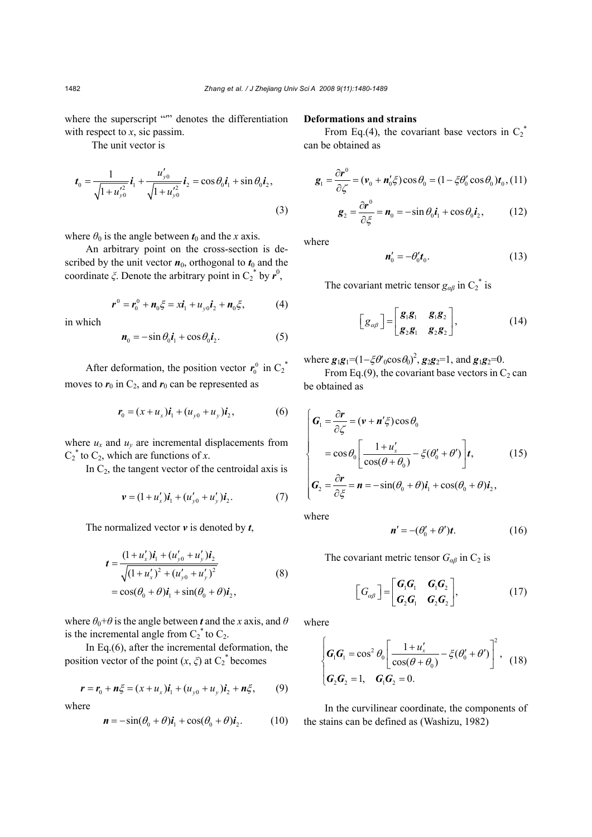where the superscript "" denotes the differentiation with respect to *x*, sic passim.

The unit vector is

$$
\boldsymbol{t}_{0} = \frac{1}{\sqrt{1+u_{y0}'^{2}}} \boldsymbol{i}_{1} + \frac{u_{y0}'}{\sqrt{1+u_{y0}'^{2}}} \boldsymbol{i}_{2} = \cos \theta_{0} \boldsymbol{i}_{1} + \sin \theta_{0} \boldsymbol{i}_{2},
$$
\n(3)

where  $\theta_0$  is the angle between  $t_0$  and the *x* axis.

An arbitrary point on the cross-section is described by the unit vector  $n_0$ , orthogonal to  $t_0$  and the coordinate  $\zeta$ . Denote the arbitrary point in C<sub>2</sub><sup>\*</sup> by  $r^0$ ,

$$
\boldsymbol{r}^0 = \boldsymbol{r}_0^0 + \boldsymbol{n}_0 \xi = x \boldsymbol{i}_1 + u_{y0} \boldsymbol{i}_2 + \boldsymbol{n}_0 \xi, \tag{4}
$$

in which

$$
\boldsymbol{n}_0 = -\sin\theta_0 \boldsymbol{i}_1 + \cos\theta_0 \boldsymbol{i}_2. \tag{5}
$$

After deformation, the position vector  $r_0^0$  in  $C_2^*$ moves to  $r_0$  in  $C_2$ , and  $r_0$  can be represented as

$$
\mathbf{r}_0 = (x + u_x)\mathbf{i}_1 + (u_{y0} + u_y)\mathbf{i}_2, \tag{6}
$$

where  $u_x$  and  $u_y$  are incremental displacements from  $C_2^*$  to  $C_2$ , which are functions of *x*.

In  $C_2$ , the tangent vector of the centroidal axis is

$$
\mathbf{v} = (1 + u'_x)\mathbf{i}_1 + (u'_{y0} + u'_y)\mathbf{i}_2. \tag{7}
$$

The normalized vector *v* is denoted by *t*,

$$
\mathbf{t} = \frac{(1 + u'_x)\mathbf{i}_1 + (u'_{y0} + u'_y)\mathbf{i}_2}{\sqrt{(1 + u'_x)^2 + (u'_{y0} + u'_y)^2}}
$$
  
=  $\cos(\theta_0 + \theta)\mathbf{i}_1 + \sin(\theta_0 + \theta)\mathbf{i}_2,$  (8)

where  $\theta_0 + \theta$  is the angle between **t** and the x axis, and  $\theta$ is the incremental angle from  $C_2^*$  to  $C_2$ .

In Eq.(6), after the incremental deformation, the position vector of the point  $(x, \xi)$  at  $C_2^*$  becomes

$$
\mathbf{r} = \mathbf{r}_0 + \mathbf{n}\xi = (x + u_x)\mathbf{i}_1 + (u_{y0} + u_y)\mathbf{i}_2 + \mathbf{n}\xi, \qquad (9)
$$

where

$$
\mathbf{n} = -\sin(\theta_0 + \theta)\mathbf{i}_1 + \cos(\theta_0 + \theta)\mathbf{i}_2. \tag{10}
$$

### **Deformations and strains**

From Eq.(4), the covariant base vectors in  $C_2^*$ can be obtained as

$$
\mathbf{g}_1 = \frac{\partial \mathbf{r}^0}{\partial \zeta} = (\mathbf{v}_0 + \mathbf{n}'_0 \zeta) \cos \theta_0 = (1 - \zeta \theta'_0 \cos \theta_0) \mathbf{t}_0, (11)
$$

$$
\frac{\partial \mathbf{r}^0}{\partial \zeta^0} \qquad \text{where } \theta \text{ is the } (12)
$$

$$
\mathbf{g}_2 = \frac{\partial \mathbf{r}^3}{\partial \xi} = \mathbf{n}_0 = -\sin \theta_0 \mathbf{i}_1 + \cos \theta_0 \mathbf{i}_2, \quad (12)
$$

where

$$
\mathbf{n}'_0 = -\theta'_0 \mathbf{t}_0. \tag{13}
$$

The covariant metric tensor  $g_{\alpha\beta}$  in C<sub>2</sub><sup>\*</sup> is

$$
\begin{bmatrix} g_{\alpha\beta} \end{bmatrix} = \begin{bmatrix} g_1g_1 & g_1g_2 \\ g_2g_1 & g_2g_2 \end{bmatrix}, \tag{14}
$$

where  $g_1g_1=(1-\xi\theta'_{0}\cos\theta_{0})^2$ ,  $g_2g_2=1$ , and  $g_1g_2=0$ .

From Eq.(9), the covariant base vectors in  $C_2$  can be obtained as

$$
\begin{cases}\n\mathbf{G}_{1} = \frac{\partial \mathbf{r}}{\partial \zeta} = (\mathbf{v} + \mathbf{n}'\zeta) \cos \theta_{0} \\
= \cos \theta_{0} \left[ \frac{1 + u'_{x}}{\cos(\theta + \theta_{0})} - \zeta(\theta'_{0} + \theta') \right] \mathbf{t}, \qquad (15) \\
\mathbf{G}_{2} = \frac{\partial \mathbf{r}}{\partial \zeta} = \mathbf{n} = -\sin(\theta_{0} + \theta) \mathbf{i}_{1} + \cos(\theta_{0} + \theta) \mathbf{i}_{2},\n\end{cases}
$$

where

$$
\mathbf{n}' = -(\theta_0' + \theta')\mathbf{t}.\tag{16}
$$

The covariant metric tensor  $G_{\alpha\beta}$  in C<sub>2</sub> is

$$
\begin{bmatrix} G_{\alpha\beta} \end{bmatrix} = \begin{bmatrix} G_1G_1 & G_1G_2 \\ G_2G_1 & G_2G_2 \end{bmatrix},
$$
 (17)

where

$$
\begin{cases}\n\boldsymbol{G}_{1}\boldsymbol{G}_{1}=\cos^{2}\theta_{0} \left[\frac{1+u_{x}'}{\cos(\theta+\theta_{0})}-\xi(\theta_{0}'+\theta')\right]^{2}, & (18) \\
\boldsymbol{G}_{2}\boldsymbol{G}_{2}=1, & \boldsymbol{G}_{1}\boldsymbol{G}_{2}=0.\n\end{cases}
$$

In the curvilinear coordinate, the components of the stains can be defined as (Washizu, 1982)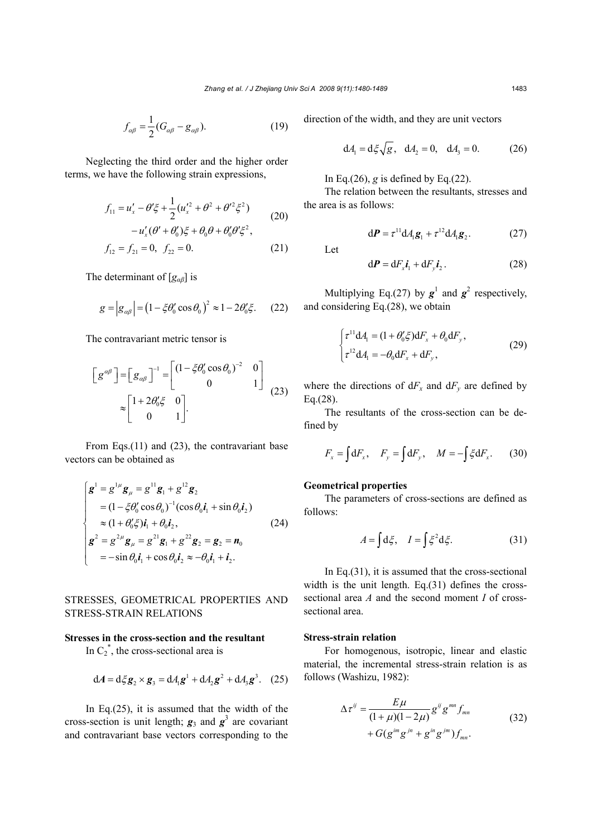$$
f_{\alpha\beta} = \frac{1}{2} (G_{\alpha\beta} - g_{\alpha\beta}).
$$
 (19)

Neglecting the third order and the higher order terms, we have the following strain expressions,

$$
f_{11} = u'_x - \theta' \xi + \frac{1}{2} (u'_x^2 + \theta^2 + \theta'^2 \xi^2)
$$
  
\n
$$
-u'_x (\theta' + \theta'_0) \xi + \theta_0 \theta + \theta'_0 \theta' \xi^2,
$$
  
\n
$$
f_{12} = f_{21} = 0, \quad f_{22} = 0.
$$
\n(21)

The determinant of [*gαβ*] is

$$
g = |g_{\alpha\beta}| = (1 - \xi \theta_0' \cos \theta_0)^2 \approx 1 - 2\theta_0' \xi. \quad (22)
$$

The contravariant metric tensor is

$$
\begin{bmatrix} g^{\alpha\beta} \end{bmatrix} = \begin{bmatrix} g_{\alpha\beta} \end{bmatrix}^{-1} = \begin{bmatrix} (1 - \xi \theta_0' \cos \theta_0)^{-2} & 0 \\ 0 & 1 \end{bmatrix}
$$
  
\n
$$
\approx \begin{bmatrix} 1 + 2\theta_0' \xi & 0 \\ 0 & 1 \end{bmatrix}.
$$
 (23)

From Eqs.(11) and (23), the contravariant base vectors can be obtained as

$$
\begin{cases}\ng^{1} = g^{1\mu}g_{\mu} = g^{11}g_{1} + g^{12}g_{2} \\
= (1 - \xi \theta_{0}^{\prime} \cos \theta_{0})^{-1}(\cos \theta_{0} \mathbf{i}_{1} + \sin \theta_{0} \mathbf{i}_{2}) \\
\approx (1 + \theta_{0}^{\prime} \xi) \mathbf{i}_{1} + \theta_{0} \mathbf{i}_{2}, \\
g^{2} = g^{2\mu}g_{\mu} = g^{21}g_{1} + g^{22}g_{2} = g_{2} = n_{0} \\
= -\sin \theta_{0} \mathbf{i}_{1} + \cos \theta_{0} \mathbf{i}_{2} \approx -\theta_{0} \mathbf{i}_{1} + \mathbf{i}_{2}.\n\end{cases}
$$
\n(24)

# STRESSES, GEOMETRICAL PROPERTIES AND STRESS-STRAIN RELATIONS

### **Stresses in the cross-section and the resultant**

In  $C_2^*$ , the cross-sectional area is

$$
dA = d\xi g_2 \times g_3 = dA_1 g^1 + dA_2 g^2 + dA_3 g^3. (25)
$$

In Eq. $(25)$ , it is assumed that the width of the cross-section is unit length;  $g_3$  and  $g^3$  are covariant and contravariant base vectors corresponding to the

direction of the width, and they are unit vectors

$$
dA_1 = d\xi \sqrt{g}
$$
,  $dA_2 = 0$ ,  $dA_3 = 0$ . (26)

In Eq.(26),  $g$  is defined by Eq.(22).

The relation between the resultants, stresses and the area is as follows:

Let

$$
d\boldsymbol{P} = dF_x \boldsymbol{i}_1 + dF_y \boldsymbol{i}_2. \tag{28}
$$

 $dP = \tau^{11} dA_1 g_1 + \tau^{12} dA_1 g_2.$  (27)

Multiplying Eq.(27) by  $g^1$  and  $g^2$  respectively, and considering Eq.(28), we obtain

$$
\begin{cases} \tau^{11} \mathrm{d}A_1 = (1 + \theta_0' \xi) \mathrm{d}F_x + \theta_0 \mathrm{d}F_y, \\ \tau^{12} \mathrm{d}A_1 = -\theta_0 \mathrm{d}F_x + \mathrm{d}F_y, \end{cases} \tag{29}
$$

where the directions of  $dF_x$  and  $dF_y$  are defined by Eq.(28).

The resultants of the cross-section can be defined by

$$
F_x = \int dF_x, \quad F_y = \int dF_y, \quad M = -\int \xi dF_x. \tag{30}
$$

### **Geometrical properties**

The parameters of cross-sections are defined as follows:

$$
A = \int d\xi, \quad I = \int \xi^2 d\xi. \tag{31}
$$

In Eq.(31), it is assumed that the cross-sectional width is the unit length. Eq.(31) defines the crosssectional area *A* and the second moment *I* of crosssectional area.

### **Stress-strain relation**

For homogenous, isotropic, linear and elastic material, the incremental stress-strain relation is as follows (Washizu, 1982):

$$
\Delta \tau^{ij} = \frac{E\mu}{(1+\mu)(1-2\mu)} g^{ij} g^{mn} f_{mn}
$$
  
+  $G(g^{im}g^{jn} + g^{in}g^{jm}) f_{mn}$ . (32)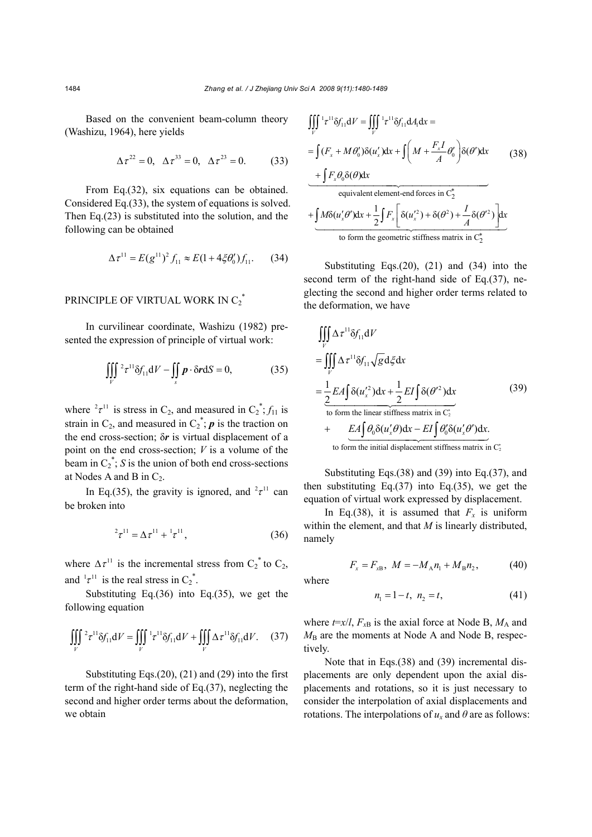Based on the convenient beam-column theory (Washizu, 1964), here yields

$$
\Delta \tau^{22} = 0, \ \ \Delta \tau^{33} = 0, \ \ \Delta \tau^{23} = 0. \tag{33}
$$

From Eq.(32), six equations can be obtained. Considered Eq.(33), the system of equations is solved. Then Eq.(23) is substituted into the solution, and the following can be obtained

$$
\Delta \tau^{11} = E(g^{11})^2 f_{11} \approx E(1 + 4\xi \theta_0') f_{11}. \tag{34}
$$

# PRINCIPLE OF VIRTUAL WORK IN  $C_2^*$

In curvilinear coordinate, Washizu (1982) presented the expression of principle of virtual work:

$$
\iiint\limits_V 2\tau^{11} \delta f_{11} dV - \iint\limits_S \boldsymbol{p} \cdot \delta \boldsymbol{r} dS = 0, \qquad (35)
$$

where  ${}^{2}\tau^{11}$  is stress in C<sub>2</sub>, and measured in C<sub>2</sub><sup>\*</sup>;  $f_{11}$  is strain in  $C_2$ , and measured in  $C_2^*$ ; **p** is the traction on the end cross-section; δ*r* is virtual displacement of a point on the end cross-section; *V* is a volume of the beam in  $C_2^*$ ; *S* is the union of both end cross-sections at Nodes A and B in  $C_2$ .

In Eq.(35), the gravity is ignored, and  $2\tau^{11}$  can be broken into

$$
{}^{2}\tau^{11} = \Delta \tau^{11} + {}^{1}\tau^{11}, \qquad (36)
$$

where  $\Delta \tau^{11}$  is the incremental stress from  $C_2^*$  to  $C_2$ , and  $\frac{1}{\tau}$  is the real stress in  $C_2^*$ .

Substituting Eq.(36) into Eq.(35), we get the following equation

$$
\iiint\limits_V 2\tau^{11} \delta f_{11} dV = \iiint\limits_V 1\tau^{11} \delta f_{11} dV + \iiint\limits_V \Delta \tau^{11} \delta f_{11} dV. \tag{37}
$$

Substituting Eqs.(20), (21) and (29) into the first term of the right-hand side of Eq.(37), neglecting the second and higher order terms about the deformation, we obtain

$$
\iiint_{V} \frac{1}{t} t^{11} \delta f_{11} dV = \iiint_{V} \frac{1}{t} t^{11} \delta f_{11} dA_1 dx =
$$
\n
$$
= \int (F_x + M \theta'_0) \delta(u'_x) dx + \int \left( M + \frac{F_x I}{A} \theta'_0 \right) \delta(\theta') dx \qquad (38)
$$
\n
$$
+ \int F_x \theta_0 \delta(\theta) dx
$$
\nequivalent element-end forces in C<sub>2</sub><sup>\*</sup>\n
$$
+ \int M \delta(u'_x \theta') dx + \frac{1}{2} \int F_x \left[ \delta(u'_x)^2 + \delta(\theta^2) + \frac{I}{A} \delta(\theta'^2) \right] dx
$$
\nto form the geometric stiffness matrix in C<sub>2</sub><sup>\*</sup>

Substituting Eqs.(20), (21) and (34) into the second term of the right-hand side of Eq.(37), neglecting the second and higher order terms related to the deformation, we have

$$
\iiint_{V} \Delta \tau^{11} \delta f_{11} dV
$$
\n
$$
= \iiint_{V} \Delta \tau^{11} \delta f_{11} \sqrt{g} d\xi dx
$$
\n
$$
= \frac{1}{2} E A \int \delta(u_x'^2) dx + \frac{1}{2} E I \int \delta(\theta'^2) dx
$$
\nto form the linear stiffness matrix in  $C_z^*$ \n
$$
+ \underbrace{E A \int \theta_0 \delta(u_x' \theta) dx - E I \int \theta_0' \delta(u_x' \theta') dx}_{\text{to form the initial displacement stiffness matrix in } C_z^*}.
$$
\n(39)

Substituting Eqs.(38) and (39) into Eq.(37), and then substituting Eq. $(37)$  into Eq. $(35)$ , we get the equation of virtual work expressed by displacement.

In Eq.(38), it is assumed that  $F_x$  is uniform within the element, and that *M* is linearly distributed, namely

$$
F_x = F_{xB}, \ M = -M_A n_1 + M_B n_2, \tag{40}
$$

where

$$
n_1 = 1 - t, \ n_2 = t,\tag{41}
$$

where  $t=x/l$ ,  $F_{xB}$  is the axial force at Node B,  $M_A$  and  $M<sub>B</sub>$  are the moments at Node A and Node B, respectively.

Note that in Eqs.(38) and (39) incremental displacements are only dependent upon the axial displacements and rotations, so it is just necessary to consider the interpolation of axial displacements and rotations. The interpolations of  $u_x$  and  $\theta$  are as follows: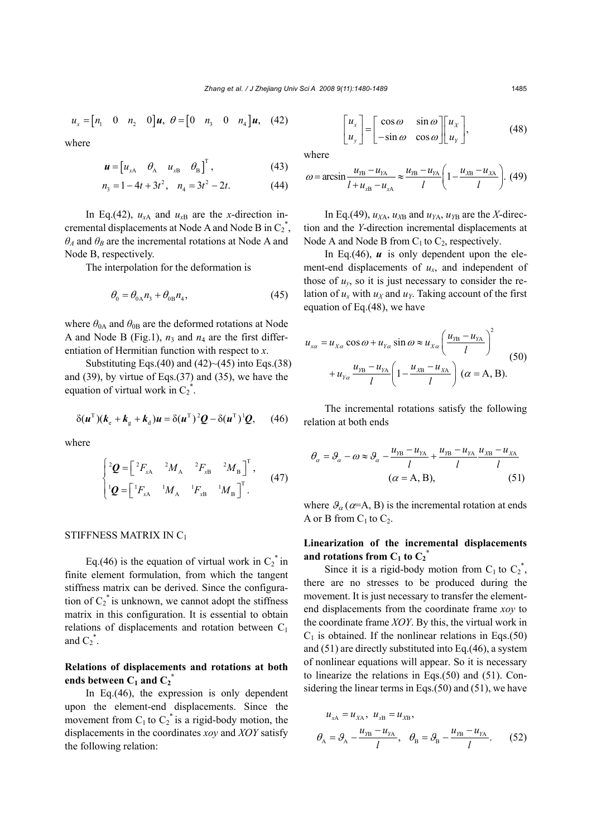$$
u_x = \begin{bmatrix} n_1 & 0 & n_2 & 0 \end{bmatrix} u, \ \theta = \begin{bmatrix} 0 & n_3 & 0 & n_4 \end{bmatrix} u, \tag{42}
$$

where

$$
\boldsymbol{u} = \begin{bmatrix} u_{xA} & \theta_A & u_{xB} & \theta_B \end{bmatrix}^\mathrm{T},\tag{43}
$$

$$
n_3 = 1 - 4t + 3t^2, \quad n_4 = 3t^2 - 2t. \tag{44}
$$

In Eq.(42),  $u_{xA}$  and  $u_{xB}$  are the *x*-direction incremental displacements at Node A and Node B in  $C_2^*$ , *θA* and *θB* are the incremental rotations at Node A and Node B, respectively.

The interpolation for the deformation is

$$
\theta_0 = \theta_{0\text{A}} n_3 + \theta_{0\text{B}} n_4,\tag{45}
$$

where  $\theta_{0A}$  and  $\theta_{0B}$  are the deformed rotations at Node A and Node B (Fig.1),  $n_3$  and  $n_4$  are the first differentiation of Hermitian function with respect to *x*.

Substituting Eqs.(40) and  $(42)$  - $(45)$  into Eqs.(38) and (39), by virtue of Eqs.(37) and (35), we have the equation of virtual work in  $C_2^*$ .

$$
\delta(\boldsymbol{u}^{\mathrm{T}})(\boldsymbol{k}_{\mathrm{e}} + \boldsymbol{k}_{\mathrm{g}} + \boldsymbol{k}_{\mathrm{d}})\boldsymbol{u} = \delta(\boldsymbol{u}^{\mathrm{T}})^{2}\boldsymbol{Q} - \delta(\boldsymbol{u}^{\mathrm{T}})^{1}\boldsymbol{Q}, \qquad (46)
$$

where

$$
\begin{cases} {}^{2}\mathbf{Q} = \begin{bmatrix} {}^{2}F_{xA} & {}^{2}M_{A} & {}^{2}F_{xB} & {}^{2}M_{B} \end{bmatrix}^{T}, \\ {}^{1}\mathbf{Q} = \begin{bmatrix} {}^{1}F_{xA} & {}^{1}M_{A} & {}^{1}F_{xB} & {}^{1}M_{B} \end{bmatrix}^{T}. \end{cases}
$$
(47)

#### STIFFNESS MATRIX IN C1

Eq.(46) is the equation of virtual work in  $C_2^*$  in finite element formulation, from which the tangent stiffness matrix can be derived. Since the configuration of  $C_2^*$  is unknown, we cannot adopt the stiffness matrix in this configuration. It is essential to obtain relations of displacements and rotation between  $C_1$ and  $C_2^*$ .

# **Relations of displacements and rotations at both**  ends between  $C_1$  and  $C_2^*$

In Eq.(46), the expression is only dependent upon the element-end displacements. Since the movement from  $C_1$  to  $C_2^*$  is a rigid-body motion, the displacements in the coordinates *xoy* and *XOY* satisfy the following relation:

$$
\begin{bmatrix} u_x \\ u_y \end{bmatrix} = \begin{bmatrix} \cos \omega & \sin \omega \\ -\sin \omega & \cos \omega \end{bmatrix} \begin{bmatrix} u_x \\ u_y \end{bmatrix},
$$
 (48)

where

$$
\omega = \arcsin \frac{u_{\text{yB}} - u_{\text{yA}}}{l + u_{\text{yB}} - u_{\text{yA}}} \approx \frac{u_{\text{yB}} - u_{\text{yA}}}{l} \left( 1 - \frac{u_{\text{yB}} - u_{\text{yA}}}{l} \right). \tag{49}
$$

In Eq.(49),  $u_{X_A}$ ,  $u_{X_B}$  and  $u_{Y_A}$ ,  $u_{Y_B}$  are the *X*-direction and the *Y*-direction incremental displacements at Node A and Node B from  $C_1$  to  $C_2$ , respectively.

In Eq.(46),  $\boldsymbol{u}$  is only dependent upon the element-end displacements of *ux*, and independent of those of  $u<sub>v</sub>$ , so it is just necessary to consider the relation of  $u_x$  with  $u_x$  and  $u_y$ . Taking account of the first equation of Eq.(48), we have

$$
u_{xa} = u_{X\alpha} \cos \omega + u_{Y\alpha} \sin \omega \approx u_{X\alpha} \left(\frac{u_{YB} - u_{YA}}{l}\right)^2
$$
  
+ 
$$
u_{Y\alpha} \frac{u_{YB} - u_{YA}}{l} \left(1 - \frac{u_{XB} - u_{XA}}{l}\right) (\alpha = A, B).
$$
 (50)

The incremental rotations satisfy the following relation at both ends

$$
\theta_{\alpha} = \theta_{\alpha} - \omega \approx \theta_{\alpha} - \frac{u_{\text{YB}} - u_{\text{YA}}}{l} + \frac{u_{\text{YB}} - u_{\text{YA}}}{l} \frac{u_{\text{XB}} - u_{\text{XA}}}{l}
$$
  
( $\alpha = A, B$ ), (51)

where  $\mathcal{G}_{\alpha}(\alpha=A, B)$  is the incremental rotation at ends A or B from  $C_1$  to  $C_2$ .

# **Linearization of the incremental displacements**  and rotations from  $C_1$  to  $C_2^*$

Since it is a rigid-body motion from  $C_1$  to  $C_2^*$ , there are no stresses to be produced during the movement. It is just necessary to transfer the elementend displacements from the coordinate frame *xoy* to the coordinate frame *XOY*. By this, the virtual work in  $C_1$  is obtained. If the nonlinear relations in Eqs.(50) and (51) are directly substituted into Eq.(46), a system of nonlinear equations will appear. So it is necessary to linearize the relations in Eqs.(50) and (51). Considering the linear terms in Eqs.(50) and (51), we have

$$
u_{xA} = u_{XA}, \ u_{xB} = u_{XB},
$$
  

$$
\theta_A = \theta_A - \frac{u_{YB} - u_{YA}}{l}, \ \ \theta_B = \theta_B - \frac{u_{YB} - u_{YA}}{l}.
$$
 (52)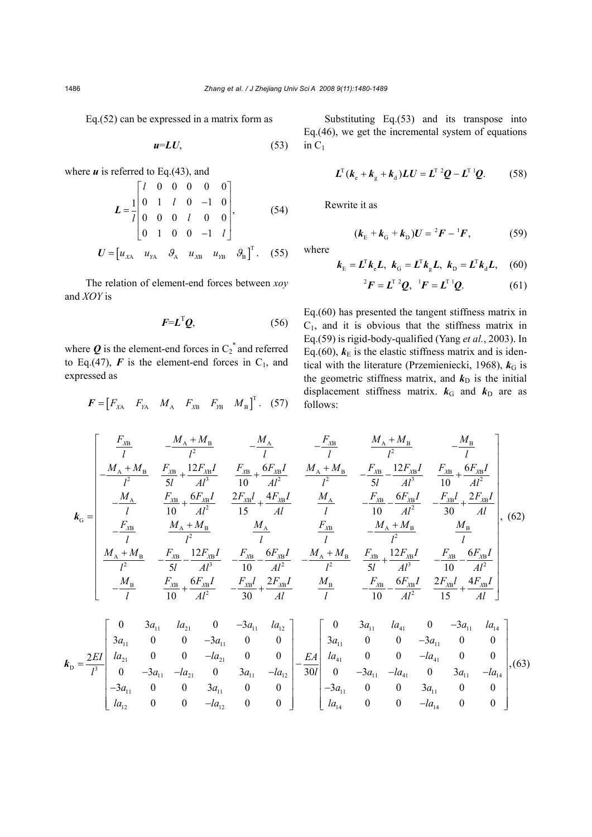Eq.(52) can be expressed in a matrix form as

$$
u=LU,\tag{53}
$$

where  $u$  is referred to Eq.(43), and

$$
L = \frac{1}{l} \begin{bmatrix} l & 0 & 0 & 0 & 0 & 0 \\ 0 & 1 & l & 0 & -1 & 0 \\ 0 & 0 & 0 & l & 0 & 0 \\ 0 & 1 & 0 & 0 & -1 & l \end{bmatrix}, \qquad (54)
$$

$$
U = [u_{XA} \quad u_{YA} \quad \mathcal{G}_A \quad u_{XB} \quad u_{YB} \quad \mathcal{G}_B]^T. \qquad (55)
$$

The relation of element-end forces between *xoy* and *XOY* is

$$
F = L^{\mathrm{T}} \mathcal{Q}, \tag{56}
$$

where  $\boldsymbol{Q}$  is the element-end forces in  $C_2^*$  and referred to Eq.(47),  $\boldsymbol{F}$  is the element-end forces in  $C_1$ , and expressed as

$$
\boldsymbol{F} = \begin{bmatrix} F_{\text{XA}} & F_{\text{YA}} & M_{\text{A}} & F_{\text{XB}} & F_{\text{YB}} & M_{\text{B}} \end{bmatrix}^{\text{T}}. \quad (57)
$$

Substituting Eq.(53) and its transpose into Eq.(46), we get the incremental system of equations in  $C_1$ 

$$
\boldsymbol{L}^{\mathrm{T}}(\boldsymbol{k}_{\mathrm{e}}+\boldsymbol{k}_{\mathrm{g}}+\boldsymbol{k}_{\mathrm{d}})\boldsymbol{L}\boldsymbol{U}=\boldsymbol{L}^{\mathrm{T}}{}^{2}\boldsymbol{Q}-\boldsymbol{L}^{\mathrm{T}}{}^{1}\boldsymbol{Q}.\qquad(58)
$$

Rewrite it as

$$
(\mathbf{k}_{\rm E} + \mathbf{k}_{\rm G} + \mathbf{k}_{\rm D})U = {}^{2}F - {}^{1}F, \tag{59}
$$

where

$$
\boldsymbol{k}_{\rm E} = \boldsymbol{L}^{\rm T} \boldsymbol{k}_{\rm e} \boldsymbol{L}, \ \boldsymbol{k}_{\rm G} = \boldsymbol{L}^{\rm T} \boldsymbol{k}_{\rm g} \boldsymbol{L}, \ \boldsymbol{k}_{\rm D} = \boldsymbol{L}^{\rm T} \boldsymbol{k}_{\rm d} \boldsymbol{L}, \quad (60)
$$

$$
{}^{2}F = L^{T} {}^{2}Q, {}^{1}F = L^{T} {}^{1}Q.
$$
 (61)

Eq.(60) has presented the tangent stiffness matrix in  $C_1$ , and it is obvious that the stiffness matrix in Eq.(59) is rigid-body-qualified (Yang *et al.*, 2003). In Eq.(60),  $k<sub>E</sub>$  is the elastic stiffness matrix and is identical with the literature (Przemieniecki, 1968),  $k_G$  is the geometric stiffness matrix, and  $k_D$  is the initial displacement stiffness matrix.  $k_G$  and  $k_D$  are as follows:

$$
k_{G} = \begin{bmatrix}\n\frac{F_{XB}}{l} & -\frac{M_{A} + M_{B}}{l^{2}} & -\frac{M_{A}}{l} & -\frac{F_{XB}}{l} & \frac{M_{A} + M_{B}}{l^{2}} & -\frac{M_{B}}{l} \\
-\frac{M_{A} + M_{B}}{l^{2}} & \frac{F_{XB}}{5l} + \frac{12F_{XB}I}{Al^{3}} & \frac{F_{XB}}{10} + \frac{6F_{XB}I}{Al^{2}} & \frac{M_{A} + M_{B}}{l^{2}} & -\frac{F_{XB}}{5l} - \frac{12F_{XB}I}{Al^{3}} & \frac{F_{XB}}{10} + \frac{6F_{XB}I}{Al^{2}} \\
-\frac{M_{A}}{l} & \frac{F_{XB}}{10} + \frac{6F_{AB}I}{Al^{2}} & \frac{2F_{XB}I}{15} + \frac{4F_{XB}I}{Al} & \frac{M_{A}}{l} & -\frac{F_{XB}}{10} - \frac{6F_{XB}I}{Al^{2}} & -\frac{F_{XB}I}{30} + \frac{2F_{XB}I}{Al} \\
-\frac{F_{XB}}{l} & \frac{M_{A} + M_{B}}{l^{2}} & -\frac{F_{XB}}{5l} - \frac{12F_{XB}I}{Al^{3}} & -\frac{F_{XB}}{10} - \frac{6F_{XB}I}{Al^{2}} & -\frac{M_{A} + M_{B}}{l^{2}} & \frac{M_{B}}{l} \\
\frac{M_{A} + M_{B}}{l^{2}} & -\frac{F_{XB}}{5l} - \frac{12F_{XB}I}{Al^{3}} & -\frac{F_{XB}}{10} - \frac{6F_{XB}I}{Al^{2}} & -\frac{M_{A} + M_{B}}{l^{2}} & \frac{F_{XB}}{5l} + \frac{12F_{XB}I}{Al^{3}} & -\frac{F_{XB}}{10} - \frac{6F_{XB}I}{Al^{2}} \\
-\frac{M_{B}}{l} & \frac{F_{XB}}{10} + \frac{6F_{XB}I}{Al^{2}} & -\frac{F_{XB}}{30} + \frac{2F_{XB}I}{Al} & \frac{M_{B}}{l} & -\frac{F_{XB}}{10} - \frac{6F_{XB}I}{Al^{2}} & \frac{2F_{XB}I}{15} + \frac
$$

$$
k_{D} = \frac{2EI}{l^{3}} \begin{bmatrix} 0 & 3a_{11} & la_{21} & 0 & -3a_{11} & la_{12} \\ 3a_{11} & 0 & 0 & -3a_{11} & 0 & 0 \\ la_{21} & 0 & 0 & -la_{21} & 0 & 0 \\ 0 & -3a_{11} & -la_{21} & 0 & 3a_{11} & -la_{21} \\ 0 & 0 & 3a_{11} & 0 & 0 \\ 0 & 0 & -d_{12} & 0 & 0 \end{bmatrix} - \frac{EA}{30l} \begin{bmatrix} 0 & 3a_{11} & la_{41} & 0 & -3a_{11} & la_{14} \\ 3a_{11} & 0 & 0 & -3a_{11} & 0 & 0 \\ 0 & 0 & -a_{11} & 0 & 0 & 0 \\ 0 & -3a_{11} & -a_{11} & 0 & 3a_{11} & -a_{14} \\ 0 & 0 & 3a_{11} & 0 & 0 & 0 \\ 0 & 0 & -a_{12} & 0 & 0 & 0 \end{bmatrix}, (63)
$$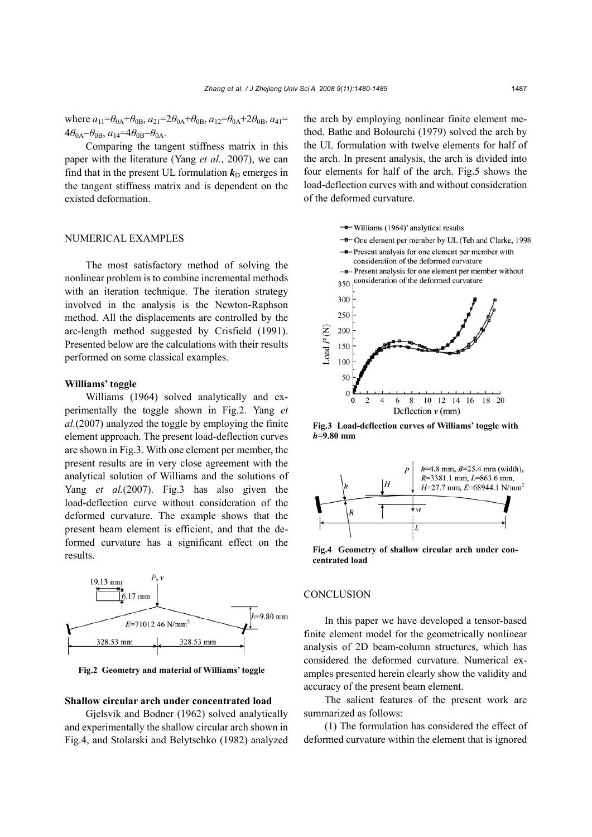where  $a_{11} = \theta_{0A} + \theta_{0B}$ ,  $a_{21} = 2\theta_{0A} + \theta_{0B}$ ,  $a_{12} = \theta_{0A} + 2\theta_{0B}$ ,  $a_{41} =$  $4\theta_{0A} - \theta_{0B}$ ,  $a_{14} = 4\theta_{0B} - \theta_{0A}$ .

Comparing the tangent stiffness matrix in this paper with the literature (Yang *et al.*, 2007), we can find that in the present UL formulation  $k_D$  emerges in the tangent stiffness matrix and is dependent on the existed deformation.

### NUMERICAL EXAMPLES

The most satisfactory method of solving the nonlinear problem is to combine incremental methods with an iteration technique. The iteration strategy involved in the analysis is the Newton-Raphson method. All the displacements are controlled by the arc-length method suggested by Crisfield (1991). Presented below are the calculations with their results performed on some classical examples.

#### **Williams' toggle**

Williams (1964) solved analytically and experimentally the toggle shown in Fig.2. Yang *et al.*(2007) analyzed the toggle by employing the finite element approach. The present load-deflection curves are shown in Fig.3. With one element per member, the present results are in very close agreement with the analytical solution of Williams and the solutions of Yang *et al.*(2007). Fig.3 has also given the load-deflection curve without consideration of the deformed curvature. The example shows that the present beam element is efficient, and that the deformed curvature has a significant effect on the results.



**Fig.2 Geometry and material of Williams' toggle** 

### **Shallow circular arch under concentrated load**

Gjelsvik and Bodner (1962) solved analytically and experimentally the shallow circular arch shown in Fig.4, and Stolarski and Belytschko (1982) analyzed the arch by employing nonlinear finite element method. Bathe and Bolourchi (1979) solved the arch by the UL formulation with twelve elements for half of the arch. In present analysis, the arch is divided into four elements for half of the arch. Fig.5 shows the load-deflection curves with and without consideration of the deformed curvature.



**Fig.3 Load-deflection curves of Williams' toggle with** *h***=9.80 mm**



**Fig.4 Geometry of shallow circular arch under concentrated load** 

### **CONCLUSION**

In this paper we have developed a tensor-based finite element model for the geometrically nonlinear analysis of 2D beam-column structures, which has considered the deformed curvature. Numerical examples presented herein clearly show the validity and accuracy of the present beam element.

The salient features of the present work are summarized as follows:

(1) The formulation has considered the effect of deformed curvature within the element that is ignored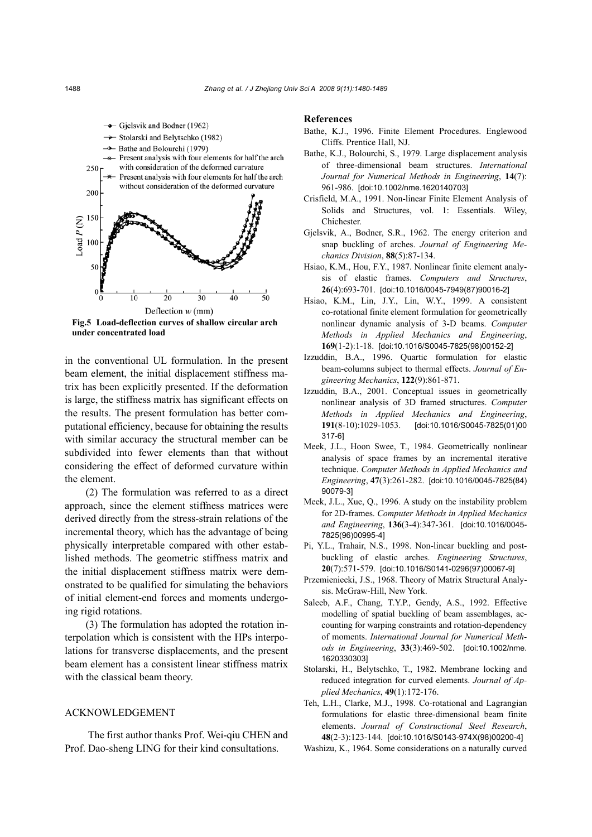

**Fig.5 Load-deflection curves of shallow circular arch under concentrated load** 

in the conventional UL formulation. In the present beam element, the initial displacement stiffness matrix has been explicitly presented. If the deformation is large, the stiffness matrix has significant effects on the results. The present formulation has better computational efficiency, because for obtaining the results with similar accuracy the structural member can be subdivided into fewer elements than that without considering the effect of deformed curvature within the element.

(2) The formulation was referred to as a direct approach, since the element stiffness matrices were derived directly from the stress-strain relations of the incremental theory, which has the advantage of being physically interpretable compared with other established methods. The geometric stiffness matrix and the initial displacement stiffness matrix were demonstrated to be qualified for simulating the behaviors of initial element-end forces and moments undergoing rigid rotations.

(3) The formulation has adopted the rotation interpolation which is consistent with the HPs interpolations for transverse displacements, and the present beam element has a consistent linear stiffness matrix with the classical beam theory.

### ACKNOWLEDGEMENT

 The first author thanks Prof. Wei-qiu CHEN and Prof. Dao-sheng LING for their kind consultations.

#### **References**

- Bathe, K.J., 1996. Finite Element Procedures. Englewood Cliffs. Prentice Hall, NJ.
- Bathe, K.J., Bolourchi, S., 1979. Large displacement analysis of three-dimensional beam structures. *International Journal for Numerical Methods in Engineering*, **14**(7): 961-986. [doi:10.1002/nme.1620140703]
- Crisfield, M.A., 1991. Non-linear Finite Element Analysis of Solids and Structures, vol. 1: Essentials. Wiley, Chichester.
- Gjelsvik, A., Bodner, S.R., 1962. The energy criterion and snap buckling of arches. *Journal of Engineering Mechanics Division*, **88**(5):87-134.
- Hsiao, K.M., Hou, F.Y., 1987. Nonlinear finite element analysis of elastic frames. *Computers and Structures*, **26**(4):693-701. [doi:10.1016/0045-7949(87)90016-2]
- Hsiao, K.M., Lin, J.Y., Lin, W.Y., 1999. A consistent co-rotational finite element formulation for geometrically nonlinear dynamic analysis of 3-D beams. *Computer Methods in Applied Mechanics and Engineering*, **169**(1-2):1-18. [doi:10.1016/S0045-7825(98)00152-2]
- Izzuddin, B.A., 1996. Quartic formulation for elastic beam-columns subject to thermal effects. *Journal of Engineering Mechanics*, **122**(9):861-871.
- Izzuddin, B.A., 2001. Conceptual issues in geometrically nonlinear analysis of 3D framed structures. *Computer Methods in Applied Mechanics and Engineering*, **191**(8-10):1029-1053. [doi:10.1016/S0045-7825(01)00 317-6]
- Meek, J.L., Hoon Swee, T., 1984. Geometrically nonlinear analysis of space frames by an incremental iterative technique. *Computer Methods in Applied Mechanics and Engineering*, **47**(3):261-282. [doi:10.1016/0045-7825(84) 90079-3]
- Meek, J.L., Xue, Q., 1996. A study on the instability problem for 2D-frames. *Computer Methods in Applied Mechanics and Engineering*, **136**(3-4):347-361. [doi:10.1016/0045- 7825(96)00995-4]
- Pi, Y.L., Trahair, N.S., 1998. Non-linear buckling and postbuckling of elastic arches. *Engineering Structures*, **20**(7):571-579. [doi:10.1016/S0141-0296(97)00067-9]
- Przemieniecki, J.S., 1968. Theory of Matrix Structural Analysis. McGraw-Hill, New York.
- Saleeb, A.F., Chang, T.Y.P., Gendy, A.S., 1992. Effective modelling of spatial buckling of beam assemblages, accounting for warping constraints and rotation-dependency of moments. *International Journal for Numerical Methods in Engineering*, **33**(3):469-502. [doi:10.1002/nme. 1620330303]
- Stolarski, H., Belytschko, T., 1982. Membrane locking and reduced integration for curved elements. *Journal of Applied Mechanics*, **49**(1):172-176.
- Teh, L.H., Clarke, M.J., 1998. Co-rotational and Lagrangian formulations for elastic three-dimensional beam finite elements. *Journal of Constructional Steel Research*, **48**(2-3):123-144. [doi:10.1016/S0143-974X(98)00200-4]
- Washizu, K., 1964. Some considerations on a naturally curved